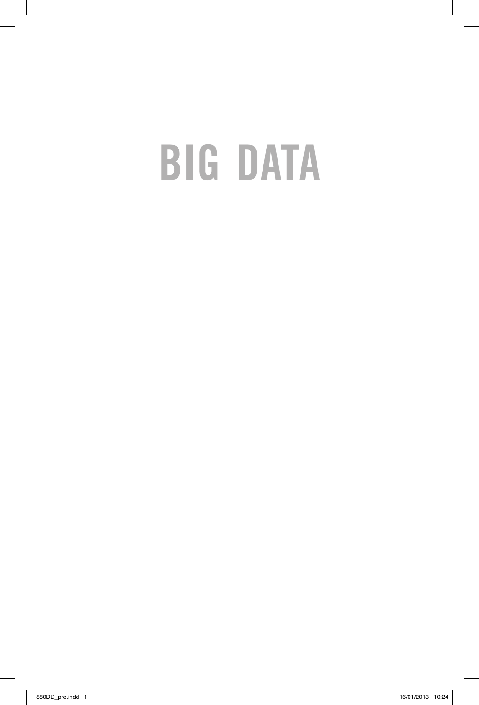## BIG DATA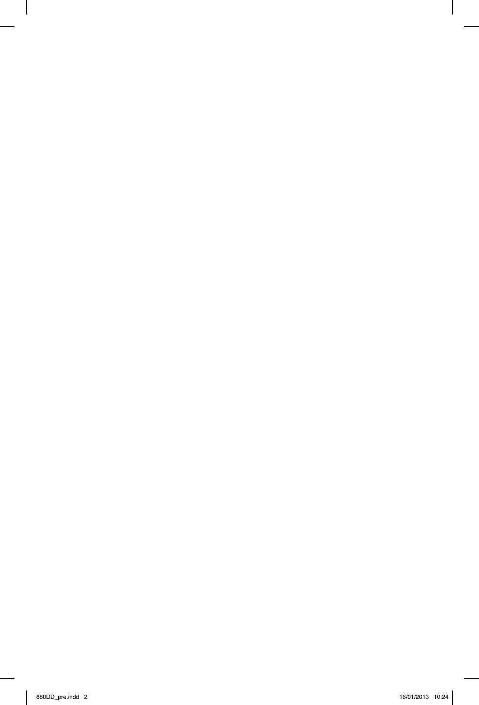$\overline{\phantom{a}}$ 

 $\overline{\phantom{a}}$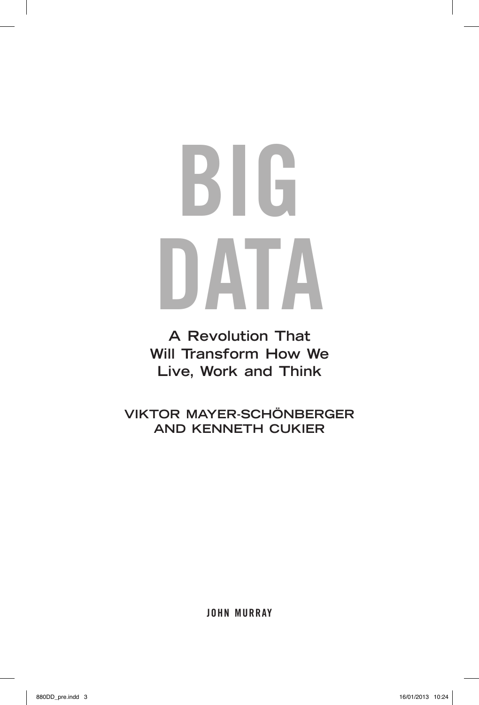# BIG DATA

**A Revolution That Will Transform How We Live, Work and Think**

**VIKTOR MAYER-SCHÖNBERGER AND KENNETH CUKIER**

JOHN MURRAY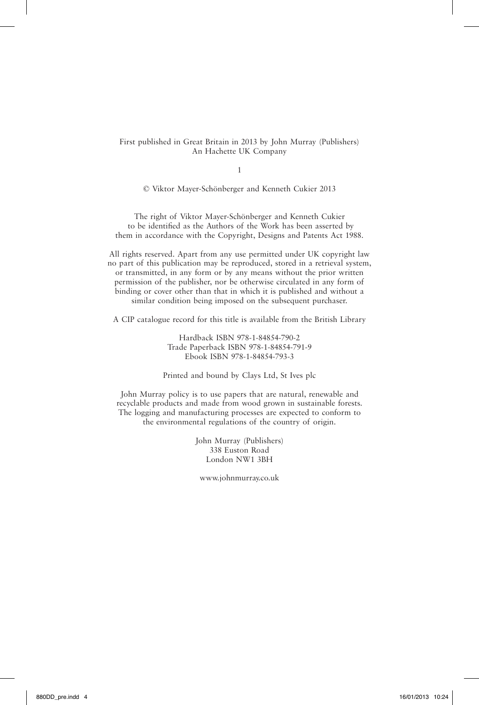#### First published in Great Britain in 2013 by John Murray (Publishers) An Hachette UK Company

1

© Viktor Mayer-Schönberger and Kenneth Cukier 2013

The right of Viktor Mayer-Schönberger and Kenneth Cukier to be identified as the Authors of the Work has been asserted by them in accordance with the Copyright, Designs and Patents Act 1988.

All rights reserved. Apart from any use permitted under UK copyright law no part of this publication may be reproduced, stored in a retrieval system, or transmitted, in any form or by any means without the prior written permission of the publisher, nor be otherwise circulated in any form of binding or cover other than that in which it is published and without a similar condition being imposed on the subsequent purchaser.

A CIP catalogue record for this title is available from the British Library

Hardback ISBN 978-1-84854-790-2 Trade Paperback ISBN 978-1-84854-791-9 Ebook ISBN 978-1-84854-793-3

Printed and bound by Clays Ltd, St Ives plc

John Murray policy is to use papers that are natural, renewable and recyclable products and made from wood grown in sustainable forests. The logging and manufacturing processes are expected to conform to the environmental regulations of the country of origin.

> John Murray (Publishers) 338 Euston Road London NW1 3BH

www.johnmurray.co.uk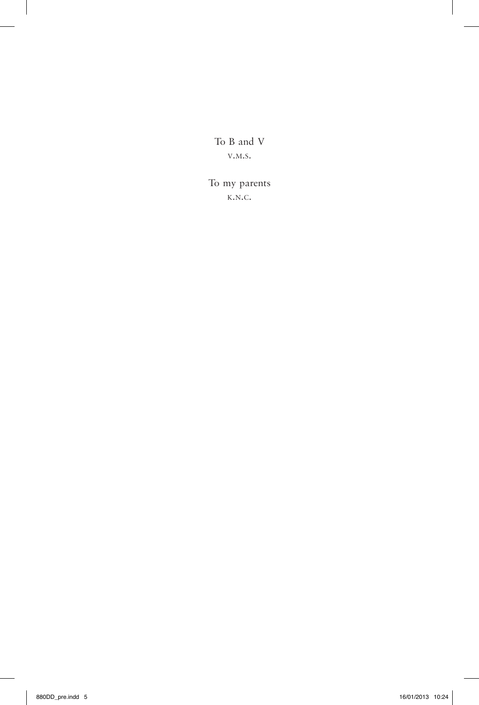To B and V v.m.s.

To my parents k.n.c.

 $\overline{\phantom{a}}$ 

 $\overline{\phantom{a}}$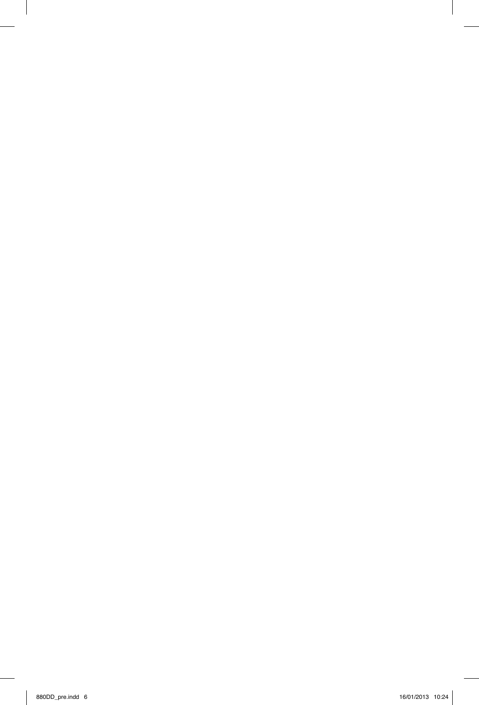$\overline{\phantom{a}}$ 

 $\overline{\phantom{a}}$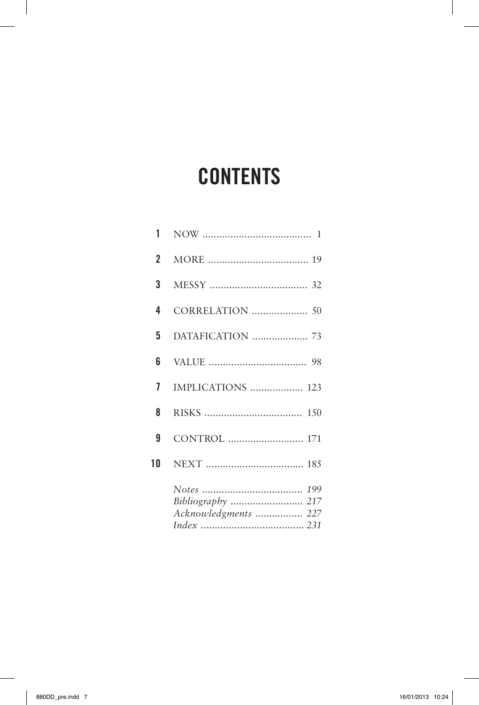### **CONTENTS**

| 1              |                                           |
|----------------|-------------------------------------------|
| $\overline{2}$ |                                           |
| 3              |                                           |
| 4              | CORRELATION  50                           |
| 5              | DATAFICATION  73                          |
| ĥ              |                                           |
| $\overline{1}$ | <b>IMPLICATIONS</b> 123                   |
| 8              |                                           |
| 9              |                                           |
| 10             |                                           |
|                | Bibliography  217<br>Acknowledgments  227 |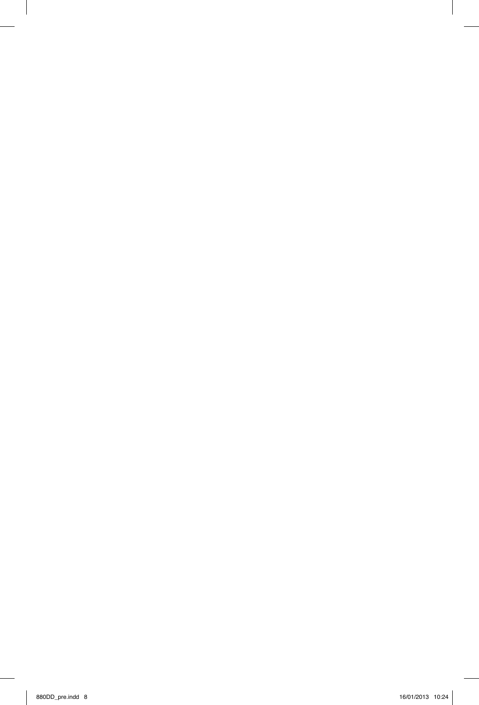$\overline{\phantom{a}}$ 

 $\overline{\phantom{a}}$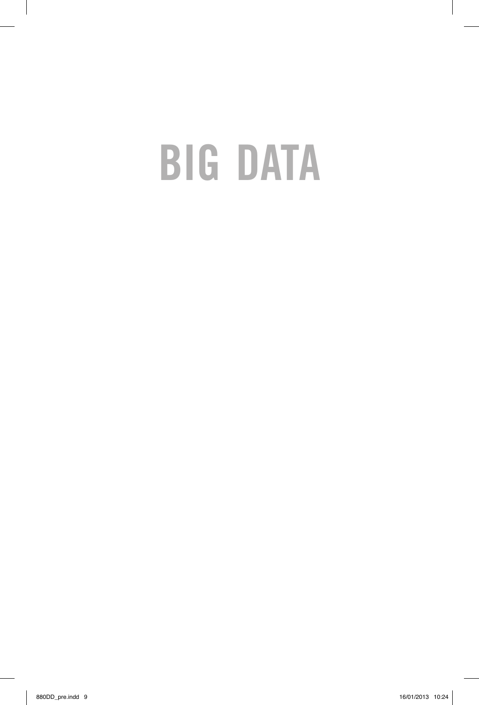## BIG DATA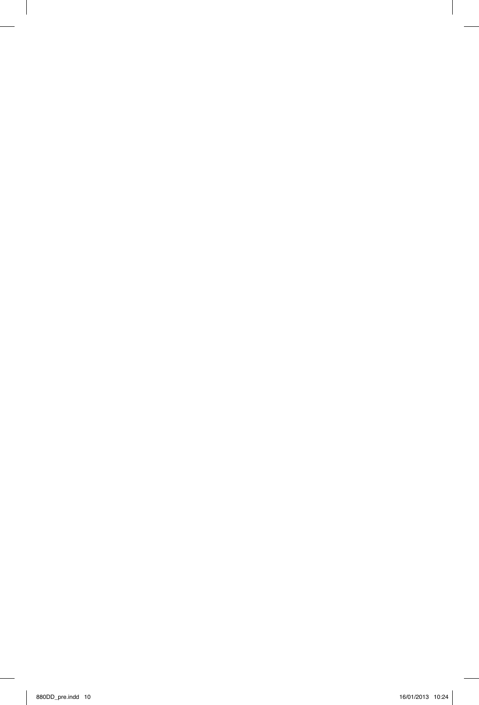$\overline{\phantom{a}}$ 

 $\overline{\phantom{a}}$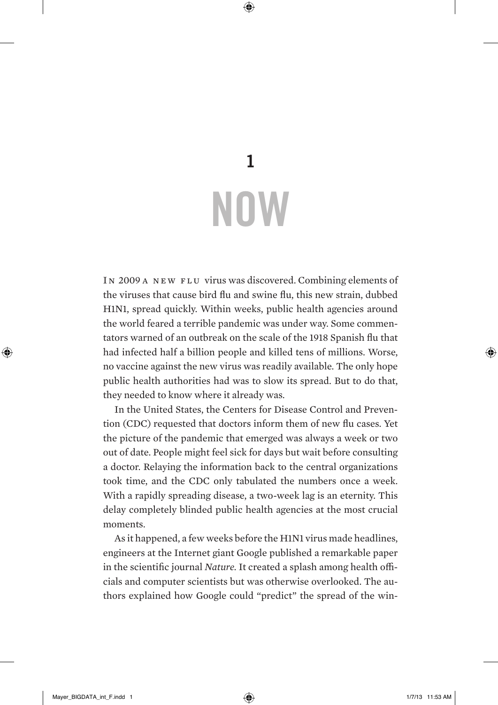## 1 Now

 $\bigoplus$ 

IN 2009 A NEW FLU virus was discovered. Combining elements of the viruses that cause bird flu and swine flu, this new strain, dubbed H1N1, spread quickly. Within weeks, public health agencies around the world feared a terrible pandemic was under way. Some commentators warned of an outbreak on the scale of the 1918 Spanish flu that had infected half a billion people and killed tens of millions. Worse, no vaccine against the new virus was readily available. The only hope public health authorities had was to slow its spread. But to do that, they needed to know where it already was.

 In the United States, the Centers for Disease Control and Prevention (CDC) requested that doctors inform them of new flu cases. Yet the picture of the pandemic that emerged was always a week or two out of date. People might feel sick for days but wait before consulting a doctor. Relaying the information back to the central organizations took time, and the CDC only tabulated the numbers once a week. With a rapidly spreading disease, a two-week lag is an eternity. This delay completely blinded public health agencies at the most crucial moments.

As it happened, a few weeks before the H1N1 virus made headlines, engineers at the Internet giant Google published a remarkable paper in the scientific journal *Nature.* It created a splash among health officials and computer scientists but was otherwise overlooked. The authors explained how Google could "predict" the spread of the win-

⊕

⊕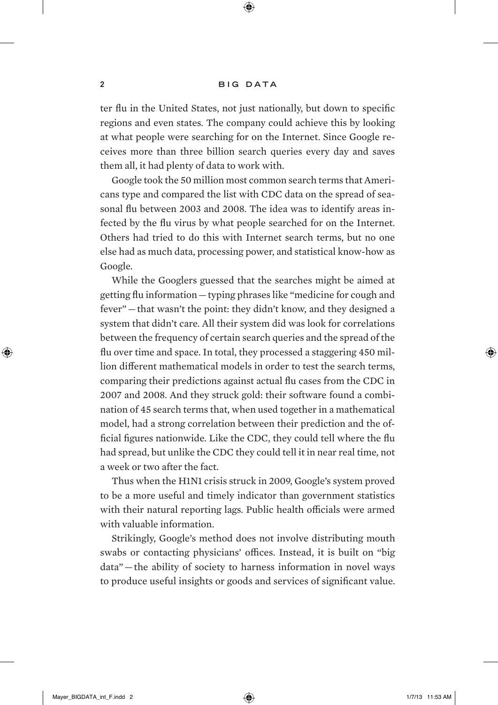#### 2 **b b** i **g b b b c b c b c b c c b c c c c c c**

 $\bigoplus$ 

ter flu in the United States, not just nationally, but down to specific regions and even states. The company could achieve this by looking at what people were searching for on the Internet. Since Google receives more than three billion search queries every day and saves them all, it had plenty of data to work with.

Google took the 50 million most common search terms that Americans type and compared the list with CDC data on the spread of seasonal flu between 2003 and 2008. The idea was to identify areas infected by the flu virus by what people searched for on the Internet. Others had tried to do this with Internet search terms, but no one else had as much data, processing power, and statistical know-how as Google.

 While the Googlers guessed that the searches might be aimed at getting flu information — typing phrases like "medicine for cough and fever" — that wasn't the point: they didn't know, and they designed a system that didn't care. All their system did was look for correlations between the frequency of certain search queries and the spread of the flu over time and space. In total, they processed a staggering 450 million different mathematical models in order to test the search terms, comparing their predictions against actual flu cases from the CDC in 2007 and 2008. And they struck gold: their software found a combination of 45 search terms that, when used together in a mathematical model, had a strong correlation between their prediction and the official figures nationwide. Like the CDC, they could tell where the flu had spread, but unlike the CDC they could tell it in near real time, not a week or two after the fact.

Thus when the H1N1 crisis struck in 2009, Google's system proved to be a more useful and timely indicator than government statistics with their natural reporting lags. Public health officials were armed with valuable information.

Strikingly, Google's method does not involve distributing mouth swabs or contacting physicians' offices. Instead, it is built on "big data" — the ability of society to harness information in novel ways to produce useful insights or goods and services of significant value.

⊕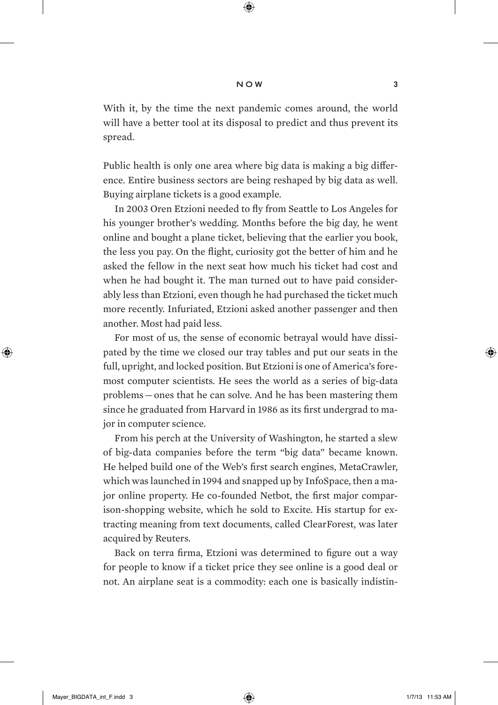$\bigoplus$ 

With it, by the time the next pandemic comes around, the world will have a better tool at its disposal to predict and thus prevent its spread.

Public health is only one area where big data is making a big difference. Entire business sectors are being reshaped by big data as well. Buying airplane tickets is a good example.

 In 2003 Oren Etzioni needed to fly from Seattle to Los Angeles for his younger brother's wedding. Months before the big day, he went online and bought a plane ticket, believing that the earlier you book, the less you pay. On the flight, curiosity got the better of him and he asked the fellow in the next seat how much his ticket had cost and when he had bought it. The man turned out to have paid considerably less than Etzioni, even though he had purchased the ticket much more recently. Infuriated, Etzioni asked another passenger and then another. Most had paid less.

For most of us, the sense of economic betrayal would have dissipated by the time we closed our tray tables and put our seats in the full, upright, and locked position. But Etzioni is one of America's foremost computer scientists. He sees the world as a series of big-data problems — ones that he can solve. And he has been mastering them since he graduated from Harvard in 1986 as its first undergrad to major in computer science.

From his perch at the University of Washington, he started a slew of big-data companies before the term "big data" became known. He helped build one of the Web's first search engines, MetaCrawler, which was launched in 1994 and snapped up by InfoSpace, then a major online property. He co-founded Netbot, the first major comparison-shopping website, which he sold to Excite. His startup for extracting meaning from text documents, called ClearForest, was later acquired by Reuters.

Back on terra firma, Etzioni was determined to figure out a way for people to know if a ticket price they see online is a good deal or not. An airplane seat is a commodity: each one is basically indistin-

⊕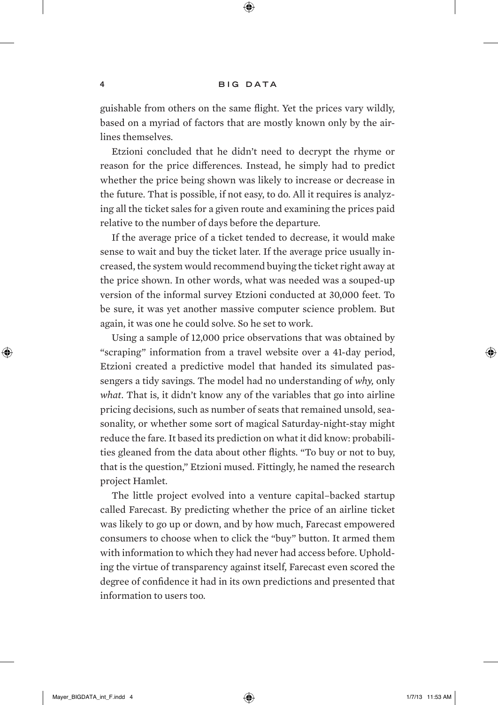$\bigoplus$ 

guishable from others on the same flight. Yet the prices vary wildly, based on a myriad of factors that are mostly known only by the airlines themselves.

 Etzioni concluded that he didn't need to decrypt the rhyme or reason for the price differences. Instead, he simply had to predict whether the price being shown was likely to increase or decrease in the future. That is possible, if not easy, to do. All it requires is analyzing all the ticket sales for a given route and examining the prices paid relative to the number of days before the departure.

 If the average price of a ticket tended to decrease, it would make sense to wait and buy the ticket later. If the average price usually increased, the system would recommend buying the ticket right away at the price shown. In other words, what was needed was a souped-up version of the informal survey Etzioni conducted at 30,000 feet. To be sure, it was yet another massive computer science problem. But again, it was one he could solve. So he set to work.

Using a sample of 12,000 price observations that was obtained by "scraping" information from a travel website over a 41-day period, Etzioni created a predictive model that handed its simulated passengers a tidy savings. The model had no understanding of *why,* only *what.* That is, it didn't know any of the variables that go into airline pricing decisions, such as number of seats that remained unsold, seasonality, or whether some sort of magical Saturday-night-stay might reduce the fare. It based its prediction on what it did know: probabilities gleaned from the data about other flights. "To buy or not to buy, that is the question," Etzioni mused. Fittingly, he named the research project Hamlet.

The little project evolved into a venture capital–backed startup called Farecast. By predicting whether the price of an airline ticket was likely to go up or down, and by how much, Farecast empowered consumers to choose when to click the "buy" button. It armed them with information to which they had never had access before. Upholding the virtue of transparency against itself, Farecast even scored the degree of confidence it had in its own predictions and presented that information to users too.

⊕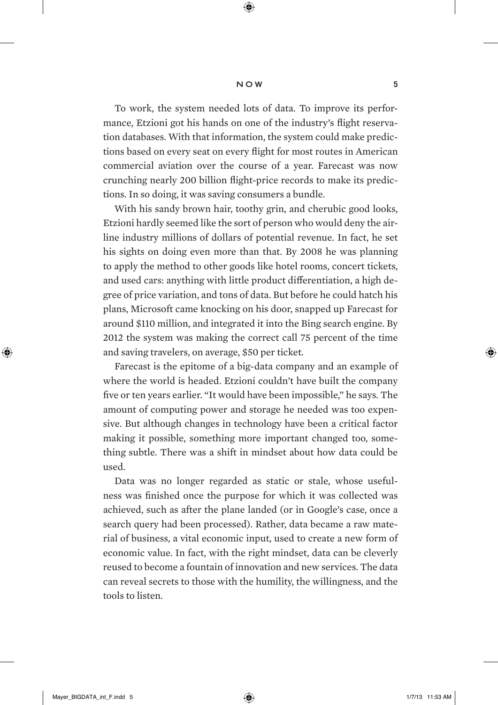$\bigoplus$ 

To work, the system needed lots of data. To improve its performance, Etzioni got his hands on one of the industry's flight reservation databases. With that information, the system could make predictions based on every seat on every flight for most routes in American commercial aviation over the course of a year. Farecast was now crunching nearly 200 billion flight-price records to make its predictions. In so doing, it was saving consumers a bundle.

 With his sandy brown hair, toothy grin, and cherubic good looks, Etzioni hardly seemed like the sort of person who would deny the airline industry millions of dollars of potential revenue. In fact, he set his sights on doing even more than that. By 2008 he was planning to apply the method to other goods like hotel rooms, concert tickets, and used cars: anything with little product differentiation, a high degree of price variation, and tons of data. But before he could hatch his plans, Microsoft came knocking on his door, snapped up Farecast for around \$110 million, and integrated it into the Bing search engine. By 2012 the system was making the correct call 75 percent of the time and saving travelers, on average, \$50 per ticket.

Farecast is the epitome of a big-data company and an example of where the world is headed. Etzioni couldn't have built the company five or ten years earlier. "It would have been impossible," he says. The amount of computing power and storage he needed was too expensive. But although changes in technology have been a critical factor making it possible, something more important changed too, something subtle. There was a shift in mindset about how data could be used.

Data was no longer regarded as static or stale, whose usefulness was finished once the purpose for which it was collected was achieved, such as after the plane landed (or in Google's case, once a search query had been processed). Rather, data became a raw material of business, a vital economic input, used to create a new form of economic value. In fact, with the right mindset, data can be cleverly reused to become a fountain of innovation and new services. The data can reveal secrets to those with the humility, the willingness, and the tools to listen.

⊕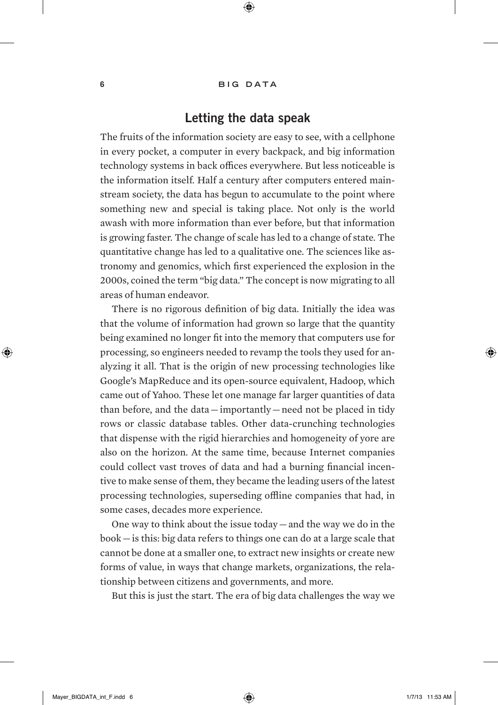#### **6 b b b b b c b b c b b c b c b c c b c c c c c c c c c**

 $\bigoplus$ 

#### Letting the data speak

The fruits of the information society are easy to see, with a cellphone in every pocket, a computer in every backpack, and big information technology systems in back offices everywhere. But less noticeable is the information itself. Half a century after computers entered mainstream society, the data has begun to accumulate to the point where something new and special is taking place. Not only is the world awash with more information than ever before, but that information is growing faster. The change of scale has led to a change of state. The quantitative change has led to a qualitative one. The sciences like astronomy and genomics, which first experienced the explosion in the 2000s, coined the term "big data." The concept is now migrating to all areas of human endeavor.

There is no rigorous definition of big data. Initially the idea was that the volume of information had grown so large that the quantity being examined no longer fit into the memory that computers use for processing, so engineers needed to revamp the tools they used for analyzing it all. That is the origin of new processing technologies like Google's MapReduce and its open-source equivalent, Hadoop, which came out of Yahoo. These let one manage far larger quantities of data than before, and the data — importantly — need not be placed in tidy rows or classic database tables. Other data-crunching technologies that dispense with the rigid hierarchies and homogeneity of yore are also on the horizon. At the same time, because Internet companies could collect vast troves of data and had a burning financial incentive to make sense of them, they became the leading users of the latest processing technologies, superseding offline companies that had, in some cases, decades more experience.

One way to think about the issue today — and the way we do in the book — is this: big data refers to things one can do at a large scale that cannot be done at a smaller one, to extract new insights or create new forms of value, in ways that change markets, organizations, the relationship between citizens and governments, and more.

But this is just the start. The era of big data challenges the way we

⊕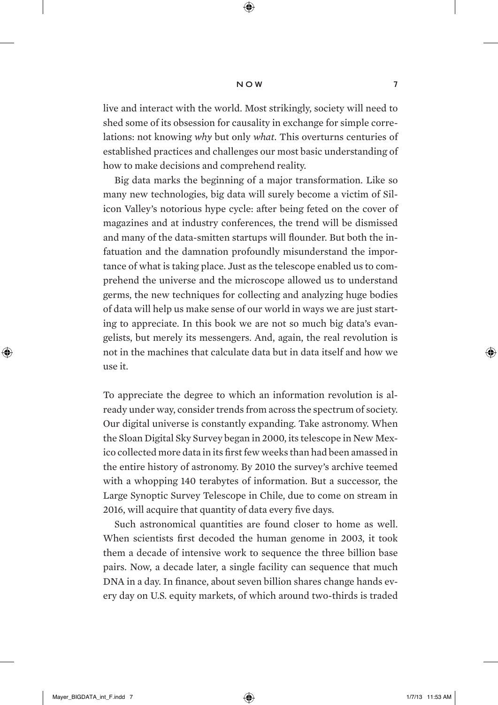$\bigoplus$ 

live and interact with the world. Most strikingly, society will need to shed some of its obsession for causality in exchange for simple correlations: not knowing *why* but only *what.* This overturns centuries of established practices and challenges our most basic understanding of how to make decisions and comprehend reality.

Big data marks the beginning of a major transformation. Like so many new technologies, big data will surely become a victim of Silicon Valley's notorious hype cycle: after being feted on the cover of magazines and at industry conferences, the trend will be dismissed and many of the data-smitten startups will flounder. But both the infatuation and the damnation profoundly misunderstand the importance of what is taking place. Just as the telescope enabled us to comprehend the universe and the microscope allowed us to understand germs, the new techniques for collecting and analyzing huge bodies of data will help us make sense of our world in ways we are just starting to appreciate. In this book we are not so much big data's evangelists, but merely its messengers. And, again, the real revolution is not in the machines that calculate data but in data itself and how we use it.

To appreciate the degree to which an information revolution is already under way, consider trends from across the spectrum of society. Our digital universe is constantly expanding. Take astronomy. When the Sloan Digital Sky Survey began in 2000, its telescope in New Mexico collected more data in its first few weeks than had been amassed in the entire history of astronomy. By 2010 the survey's archive teemed with a whopping 140 terabytes of information. But a successor, the Large Synoptic Survey Telescope in Chile, due to come on stream in 2016, will acquire that quantity of data every five days.

Such astronomical quantities are found closer to home as well. When scientists first decoded the human genome in 2003, it took them a decade of intensive work to sequence the three billion base pairs. Now, a decade later, a single facility can sequence that much DNA in a day. In finance, about seven billion shares change hands every day on U.S. equity markets, of which around two-thirds is traded

⊕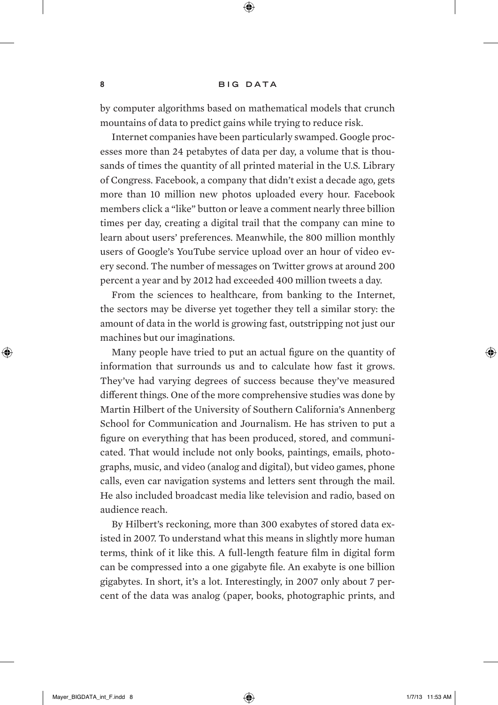#### 8 **b b** i **c b b** i **c b b** i **c b b c b c b c b c c c c c c**

 $\bigoplus$ 

by computer algorithms based on mathematical models that crunch mountains of data to predict gains while trying to reduce risk.

 Internet companies have been particularly swamped. Google processes more than 24 petabytes of data per day, a volume that is thousands of times the quantity of all printed material in the U.S. Library of Congress. Facebook, a company that didn't exist a decade ago, gets more than 10 million new photos uploaded every hour. Facebook members click a "like" button or leave a comment nearly three billion times per day, creating a digital trail that the company can mine to learn about users' preferences. Meanwhile, the 800 million monthly users of Google's YouTube service upload over an hour of video every second. The number of messages on Twitter grows at around 200 percent a year and by 2012 had exceeded 400 million tweets a day.

From the sciences to healthcare, from banking to the Internet, the sectors may be diverse yet together they tell a similar story: the amount of data in the world is growing fast, outstripping not just our machines but our imaginations.

Many people have tried to put an actual figure on the quantity of information that surrounds us and to calculate how fast it grows. They've had varying degrees of success because they've measured different things. One of the more comprehensive studies was done by Martin Hilbert of the University of Southern California's Annenberg School for Communication and Journalism. He has striven to put a figure on everything that has been produced, stored, and communicated. That would include not only books, paintings, emails, photographs, music, and video (analog and digital), but video games, phone calls, even car navigation systems and letters sent through the mail. He also included broadcast media like television and radio, based on audience reach.

By Hilbert's reckoning, more than 300 exabytes of stored data existed in 2007. To understand what this means in slightly more human terms, think of it like this. A full-length feature film in digital form can be compressed into a one gigabyte file. An exabyte is one billion gigabytes. In short, it's a lot. Interestingly, in 2007 only about 7 percent of the data was analog (paper, books, photographic prints, and

⊕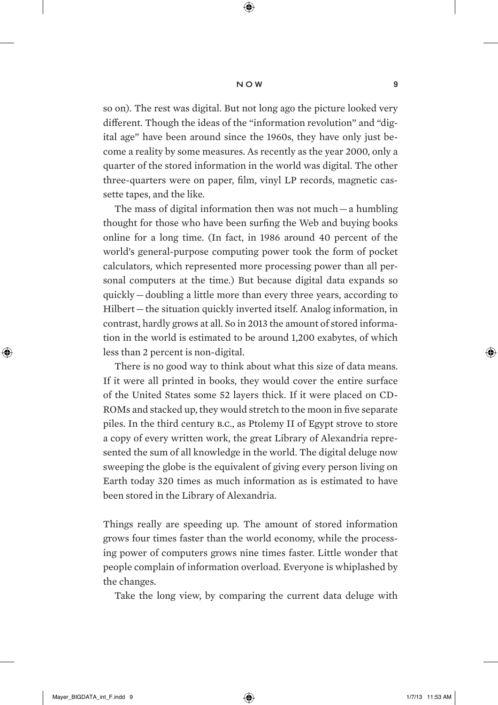$\bigoplus$ 

so on). The rest was digital. But not long ago the picture looked very different. Though the ideas of the "information revolution" and "digital age" have been around since the 1960s, they have only just become a reality by some measures. As recently as the year 2000, only a quarter of the stored information in the world was digital. The other three-quarters were on paper, film, vinyl LP records, magnetic cassette tapes, and the like.

The mass of digital information then was not much $-a$  humbling thought for those who have been surfing the Web and buying books online for a long time. (In fact, in 1986 around 40 percent of the world's general-purpose computing power took the form of pocket calculators, which represented more processing power than all personal computers at the time.) But because digital data expands so quickly — doubling a little more than every three years, according to Hilbert — the situation quickly inverted itself. Analog information, in contrast, hardly grows at all. So in 2013 the amount of stored information in the world is estimated to be around 1,200 exabytes, of which less than 2 percent is non-digital.

There is no good way to think about what this size of data means. If it were all printed in books, they would cover the entire surface of the United States some 52 layers thick. If it were placed on CD-ROMs and stacked up, they would stretch to the moon in five separate piles. In the third century b.c., as Ptolemy II of Egypt strove to store a copy of every written work, the great Library of Alexandria represented the sum of all knowledge in the world. The digital deluge now sweeping the globe is the equivalent of giving every person living on Earth today 320 times as much information as is estimated to have been stored in the Library of Alexandria.

Things really are speeding up. The amount of stored information grows four times faster than the world economy, while the processing power of computers grows nine times faster. Little wonder that people complain of information overload. Everyone is whiplashed by the changes.

Take the long view, by comparing the current data deluge with

⊕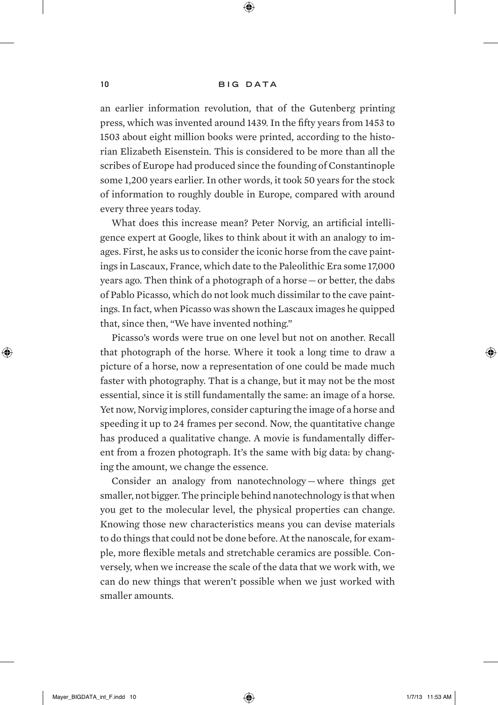$\bigoplus$ 

an earlier information revolution, that of the Gutenberg printing press, which was invented around 1439. In the fifty years from 1453 to 1503 about eight million books were printed, according to the historian Elizabeth Eisenstein. This is considered to be more than all the scribes of Europe had produced since the founding of Constantinople some 1,200 years earlier. In other words, it took 50 years for the stock of information to roughly double in Europe, compared with around every three years today.

 What does this increase mean? Peter Norvig, an artificial intelligence expert at Google, likes to think about it with an analogy to images. First, he asks us to consider the iconic horse from the cave paintings in Lascaux, France, which date to the Paleolithic Era some 17,000 years ago. Then think of a photograph of a horse — or better, the dabs of Pablo Picasso, which do not look much dissimilar to the cave paintings. In fact, when Picasso was shown the Lascaux images he quipped that, since then, "We have invented nothing."

Picasso's words were true on one level but not on another. Recall that photograph of the horse. Where it took a long time to draw a picture of a horse, now a representation of one could be made much faster with photography. That is a change, but it may not be the most essential, since it is still fundamentally the same: an image of a horse. Yet now, Norvig implores, consider capturing the image of a horse and speeding it up to 24 frames per second. Now, the quantitative change has produced a qualitative change. A movie is fundamentally different from a frozen photograph. It's the same with big data: by changing the amount, we change the essence.

Consider an analogy from nanotechnology-where things get smaller, not bigger. The principle behind nanotechnology is that when you get to the molecular level, the physical properties can change. Knowing those new characteristics means you can devise materials to do things that could not be done before. At the nanoscale, for example, more flexible metals and stretchable ceramics are possible. Conversely, when we increase the scale of the data that we work with, we can do new things that weren't possible when we just worked with smaller amounts.

⊕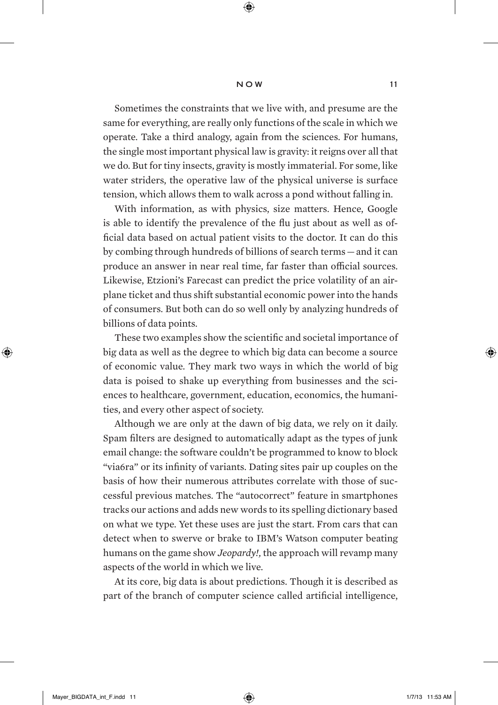$\bigoplus$ 

Sometimes the constraints that we live with, and presume are the same for everything, are really only functions of the scale in which we operate. Take a third analogy, again from the sciences. For humans, the single most important physical law is gravity: it reigns over all that we do. But for tiny insects, gravity is mostly immaterial. For some, like water striders, the operative law of the physical universe is surface tension, which allows them to walk across a pond without falling in.

 With information, as with physics, size matters. Hence, Google is able to identify the prevalence of the flu just about as well as official data based on actual patient visits to the doctor. It can do this by combing through hundreds of billions of search terms — and it can produce an answer in near real time, far faster than official sources. Likewise, Etzioni's Farecast can predict the price volatility of an airplane ticket and thus shift substantial economic power into the hands of consumers. But both can do so well only by analyzing hundreds of billions of data points.

These two examples show the scientific and societal importance of big data as well as the degree to which big data can become a source of economic value. They mark two ways in which the world of big data is poised to shake up everything from businesses and the sciences to healthcare, government, education, economics, the humanities, and every other aspect of society.

Although we are only at the dawn of big data, we rely on it daily. Spam filters are designed to automatically adapt as the types of junk email change: the software couldn't be programmed to know to block "via6ra" or its infinity of variants. Dating sites pair up couples on the basis of how their numerous attributes correlate with those of successful previous matches. The "autocorrect" feature in smartphones tracks our actions and adds new words to its spelling dictionary based on what we type. Yet these uses are just the start. From cars that can detect when to swerve or brake to IBM's Watson computer beating humans on the game show *Jeopardy!,* the approach will revamp many aspects of the world in which we live.

At its core, big data is about predictions. Though it is described as part of the branch of computer science called artificial intelligence,

⊕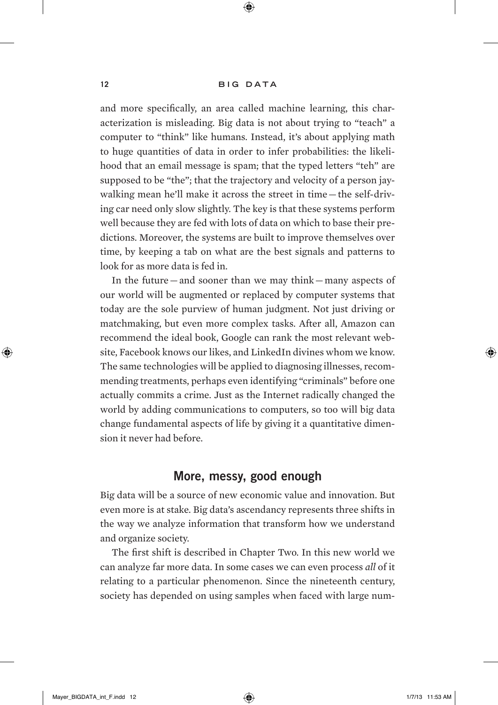$\bigoplus$ 

and more specifically, an area called machine learning, this characterization is misleading. Big data is not about trying to "teach" a computer to "think" like humans. Instead, it's about applying math to huge quantities of data in order to infer probabilities: the likelihood that an email message is spam; that the typed letters "teh" are supposed to be "the"; that the trajectory and velocity of a person jaywalking mean he'll make it across the street in time – the self-driving car need only slow slightly. The key is that these systems perform well because they are fed with lots of data on which to base their predictions. Moreover, the systems are built to improve themselves over time, by keeping a tab on what are the best signals and patterns to look for as more data is fed in.

 In the future — and sooner than we may think — many aspects of our world will be augmented or replaced by computer systems that today are the sole purview of human judgment. Not just driving or matchmaking, but even more complex tasks. After all, Amazon can recommend the ideal book, Google can rank the most relevant website, Facebook knows our likes, and LinkedIn divines whom we know. The same technologies will be applied to diagnosing illnesses, recommending treatments, perhaps even identifying "criminals" before one actually commits a crime. Just as the Internet radically changed the world by adding communications to computers, so too will big data change fundamental aspects of life by giving it a quantitative dimension it never had before.

#### More, messy, good enough

Big data will be a source of new economic value and innovation. But even more is at stake. Big data's ascendancy represents three shifts in the way we analyze information that transform how we understand and organize society.

The first shift is described in Chapter Two. In this new world we can analyze far more data. In some cases we can even process *all* of it relating to a particular phenomenon. Since the nineteenth century, society has depended on using samples when faced with large num-

⊕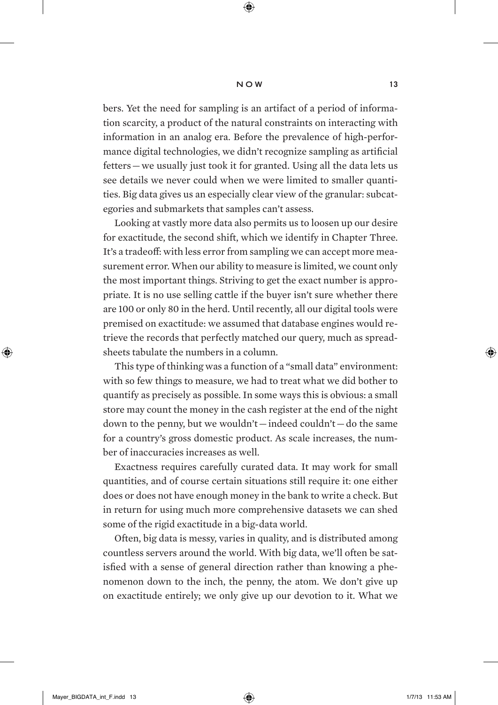$\bigoplus$ 

bers. Yet the need for sampling is an artifact of a period of information scarcity, a product of the natural constraints on interacting with information in an analog era. Before the prevalence of high-performance digital technologies, we didn't recognize sampling as artificial fetters — we usually just took it for granted. Using all the data lets us see details we never could when we were limited to smaller quantities. Big data gives us an especially clear view of the granular: subcategories and submarkets that samples can't assess.

Looking at vastly more data also permits us to loosen up our desire for exactitude, the second shift, which we identify in Chapter Three. It's a tradeoff: with less error from sampling we can accept more measurement error. When our ability to measure is limited, we count only the most important things. Striving to get the exact number is appropriate. It is no use selling cattle if the buyer isn't sure whether there are 100 or only 80 in the herd. Until recently, all our digital tools were premised on exactitude: we assumed that database engines would retrieve the records that perfectly matched our query, much as spreadsheets tabulate the numbers in a column.

This type of thinking was a function of a "small data" environment: with so few things to measure, we had to treat what we did bother to quantify as precisely as possible. In some ways this is obvious: a small store may count the money in the cash register at the end of the night down to the penny, but we wouldn't — indeed couldn't — do the same for a country's gross domestic product. As scale increases, the number of inaccuracies increases as well.

 Exactness requires carefully curated data. It may work for small quantities, and of course certain situations still require it: one either does or does not have enough money in the bank to write a check. But in return for using much more comprehensive datasets we can shed some of the rigid exactitude in a big-data world.

Often, big data is messy, varies in quality, and is distributed among countless servers around the world. With big data, we'll often be satisfied with a sense of general direction rather than knowing a phenomenon down to the inch, the penny, the atom. We don't give up on exactitude entirely; we only give up our devotion to it. What we

⊕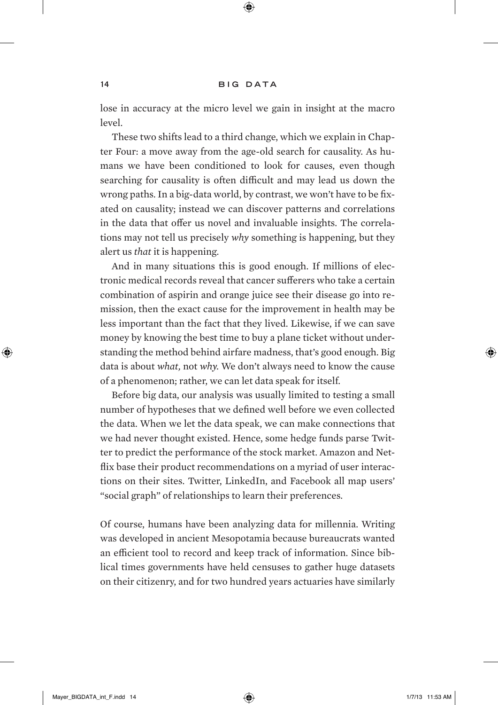$\bigoplus$ 

lose in accuracy at the micro level we gain in insight at the macro level.

These two shifts lead to a third change, which we explain in Chapter Four: a move away from the age-old search for causality. As humans we have been conditioned to look for causes, even though searching for causality is often difficult and may lead us down the wrong paths. In a big-data world, by contrast, we won't have to be fixated on causality; instead we can discover patterns and correlations in the data that offer us novel and invaluable insights. The correlations may not tell us precisely *why* something is happening, but they alert us *that* it is happening.

And in many situations this is good enough. If millions of electronic medical records reveal that cancer sufferers who take a certain combination of aspirin and orange juice see their disease go into remission, then the exact cause for the improvement in health may be less important than the fact that they lived. Likewise, if we can save money by knowing the best time to buy a plane ticket without understanding the method behind airfare madness, that's good enough. Big data is about *what,* not *why.* We don't always need to know the cause of a phenomenon; rather, we can let data speak for itself.

Before big data, our analysis was usually limited to testing a small number of hypotheses that we defined well before we even collected the data. When we let the data speak, we can make connections that we had never thought existed. Hence, some hedge funds parse Twitter to predict the performance of the stock market. Amazon and Netflix base their product recommendations on a myriad of user interactions on their sites. Twitter, LinkedIn, and Facebook all map users' "social graph" of relationships to learn their preferences.

Of course, humans have been analyzing data for millennia. Writing was developed in ancient Mesopotamia because bureaucrats wanted an efficient tool to record and keep track of information. Since biblical times governments have held censuses to gather huge datasets on their citizenry, and for two hundred years actuaries have similarly

⊕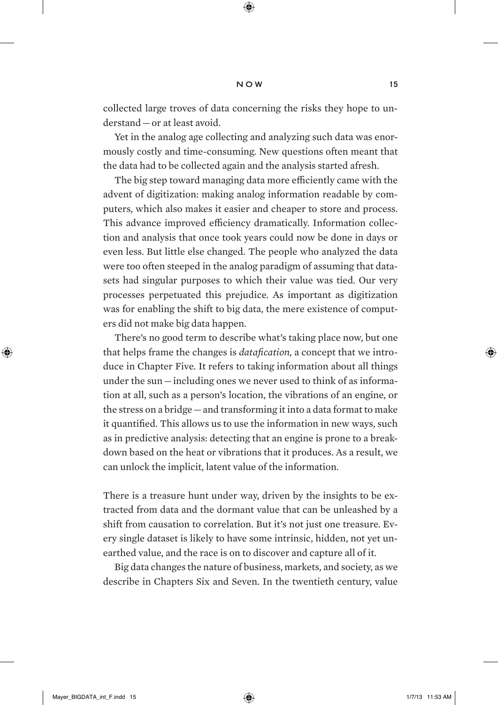$\bigoplus$ 

collected large troves of data concerning the risks they hope to understand — or at least avoid.

Yet in the analog age collecting and analyzing such data was enormously costly and time-consuming. New questions often meant that the data had to be collected again and the analysis started afresh.

The big step toward managing data more efficiently came with the advent of digitization: making analog information readable by computers, which also makes it easier and cheaper to store and process. This advance improved efficiency dramatically. Information collection and analysis that once took years could now be done in days or even less. But little else changed. The people who analyzed the data were too often steeped in the analog paradigm of assuming that datasets had singular purposes to which their value was tied. Our very processes perpetuated this prejudice. As important as digitization was for enabling the shift to big data, the mere existence of computers did not make big data happen.

There's no good term to describe what's taking place now, but one that helps frame the changes is *datafication,* a concept that we introduce in Chapter Five. It refers to taking information about all things under the sun — including ones we never used to think of as information at all, such as a person's location, the vibrations of an engine, or the stress on a bridge — and transforming it into a data format to make it quantified. This allows us to use the information in new ways, such as in predictive analysis: detecting that an engine is prone to a breakdown based on the heat or vibrations that it produces. As a result, we can unlock the implicit, latent value of the information.

There is a treasure hunt under way, driven by the insights to be extracted from data and the dormant value that can be unleashed by a shift from causation to correlation. But it's not just one treasure. Every single dataset is likely to have some intrinsic, hidden, not yet unearthed value, and the race is on to discover and capture all of it.

Big data changes the nature of business, markets, and society, as we describe in Chapters Six and Seven. In the twentieth century, value

⊕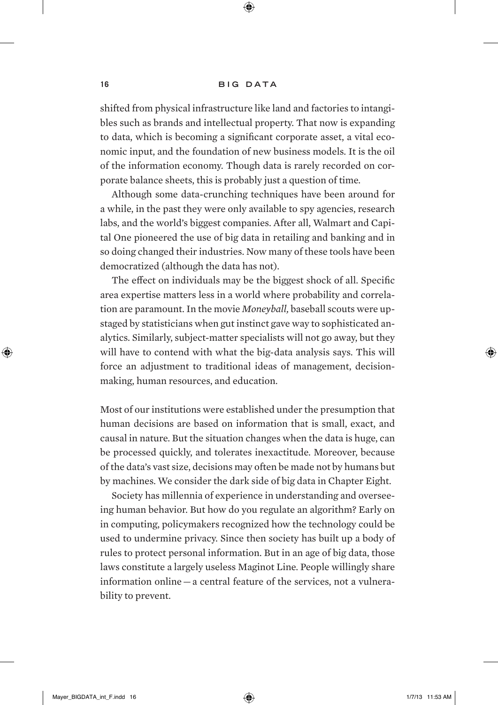$\bigoplus$ 

shifted from physical infrastructure like land and factories to intangibles such as brands and intellectual property. That now is expanding to data, which is becoming a significant corporate asset, a vital economic input, and the foundation of new business models. It is the oil of the information economy. Though data is rarely recorded on corporate balance sheets, this is probably just a question of time.

Although some data-crunching techniques have been around for a while, in the past they were only available to spy agencies, research labs, and the world's biggest companies. After all, Walmart and Capital One pioneered the use of big data in retailing and banking and in so doing changed their industries. Now many of these tools have been democratized (although the data has not).

The effect on individuals may be the biggest shock of all. Specific area expertise matters less in a world where probability and correlation are paramount. In the movie *Moneyball,* baseball scouts were upstaged by statisticians when gut instinct gave way to sophisticated analytics. Similarly, subject-matter specialists will not go away, but they will have to contend with what the big-data analysis says. This will force an adjustment to traditional ideas of management, decisionmaking, human resources, and education.

Most of our institutions were established under the presumption that human decisions are based on information that is small, exact, and causal in nature. But the situation changes when the data is huge, can be processed quickly, and tolerates inexactitude. Moreover, because of the data's vast size, decisions may often be made not by humans but by machines. We consider the dark side of big data in Chapter Eight.

Society has millennia of experience in understanding and overseeing human behavior. But how do you regulate an algorithm? Early on in computing, policymakers recognized how the technology could be used to undermine privacy. Since then society has built up a body of rules to protect personal information. But in an age of big data, those laws constitute a largely useless Maginot Line. People willingly share information online — a central feature of the services, not a vulnerability to prevent.

⊕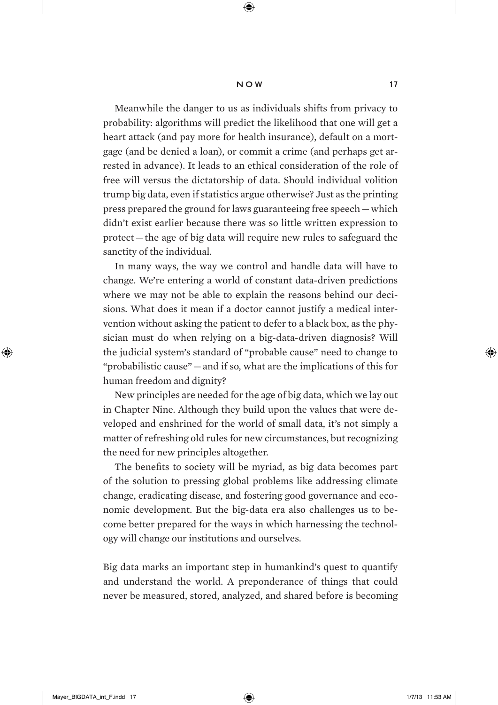$\bigoplus$ 

Meanwhile the danger to us as individuals shifts from privacy to probability: algorithms will predict the likelihood that one will get a heart attack (and pay more for health insurance), default on a mortgage (and be denied a loan), or commit a crime (and perhaps get arrested in advance). It leads to an ethical consideration of the role of free will versus the dictatorship of data. Should individual volition trump big data, even if statistics argue otherwise? Just as the printing press prepared the ground for laws guaranteeing free speech — which didn't exist earlier because there was so little written expression to protect — the age of big data will require new rules to safeguard the sanctity of the individual.

 In many ways, the way we control and handle data will have to change. We're entering a world of constant data-driven predictions where we may not be able to explain the reasons behind our decisions. What does it mean if a doctor cannot justify a medical intervention without asking the patient to defer to a black box, as the physician must do when relying on a big-data-driven diagnosis? Will the judicial system's standard of "probable cause" need to change to "probabilistic cause" — and if so, what are the implications of this for human freedom and dignity?

New principles are needed for the age of big data, which we lay out in Chapter Nine. Although they build upon the values that were developed and enshrined for the world of small data, it's not simply a matter of refreshing old rules for new circumstances, but recognizing the need for new principles altogether.

The benefits to society will be myriad, as big data becomes part of the solution to pressing global problems like addressing climate change, eradicating disease, and fostering good governance and economic development. But the big-data era also challenges us to become better prepared for the ways in which harnessing the technology will change our institutions and ourselves.

Big data marks an important step in humankind's quest to quantify and understand the world. A preponderance of things that could never be measured, stored, analyzed, and shared before is becoming

⊕